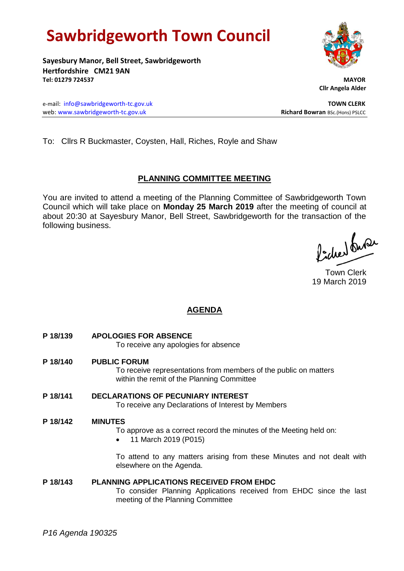# **Sawbridgeworth Town Council**

**Sayesbury Manor, Bell Street, Sawbridgeworth Hertfordshire CM21 9AN Tel: 01279 724537 MAYOR**

 **Cllr Angela Alder**

e-mail: [info@sawbridgeworth-tc.gov.uk](mailto:info@sawbridgeworth-tc.gov.uk) **TOWN CLERK** web: www.sawbridgeworth-tc.gov.uk<br> **Richard Bowran** BSc.(Hons) PSLCC

To: Cllrs R Buckmaster, Coysten, Hall, Riches, Royle and Shaw

## **PLANNING COMMITTEE MEETING**

You are invited to attend a meeting of the Planning Committee of Sawbridgeworth Town Council which will take place on **Monday 25 March 2019** after the meeting of council at about 20:30 at Sayesbury Manor, Bell Street, Sawbridgeworth for the transaction of the following business.

ladred burer

Town Clerk 19 March 2019

# **AGENDA**

- **P 18/139 APOLOGIES FOR ABSENCE** To receive any apologies for absence
- **P 18/140 PUBLIC FORUM** To receive representations from members of the public on matters within the remit of the Planning Committee
- **P 18/141 DECLARATIONS OF PECUNIARY INTEREST** To receive any Declarations of Interest by Members

### **P 18/142 MINUTES**

To approve as a correct record the minutes of the Meeting held on:

• 11 March 2019 (P015)

To attend to any matters arising from these Minutes and not dealt with elsewhere on the Agenda.

### **P 18/143 PLANNING APPLICATIONS RECEIVED FROM EHDC**

To consider Planning Applications received from EHDC since the last meeting of the Planning Committee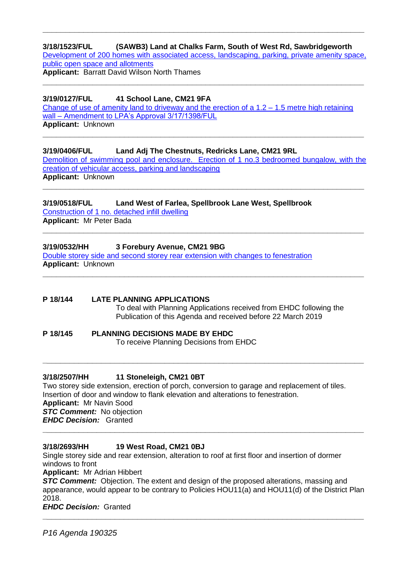# **3/18/1523/FUL (SAWB3) Land at Chalks Farm, South of West Rd, Sawbridgeworth** [Development of 200 homes with associated access, landscaping, parking, private amenity space,](https://publicaccess.eastherts.gov.uk/online-applications/applicationDetails.do?activeTab=documents&keyVal=PBAEOAGLMNG00)  [public open space and allotments](https://publicaccess.eastherts.gov.uk/online-applications/applicationDetails.do?activeTab=documents&keyVal=PBAEOAGLMNG00)

**\_\_\_\_\_\_\_\_\_\_\_\_\_\_\_\_\_\_\_\_\_\_\_\_\_\_\_\_\_\_\_\_\_\_\_\_\_\_\_\_\_\_\_\_\_\_\_\_\_\_\_\_\_\_\_\_\_\_\_\_\_\_\_\_\_\_\_\_\_\_\_**

**Applicant:** Barratt David Wilson North Thames **\_\_\_\_\_\_\_\_\_\_\_\_\_\_\_\_\_\_\_\_\_\_\_\_\_\_\_\_\_\_\_\_\_\_\_\_\_\_\_\_\_\_\_\_\_\_\_\_\_\_\_\_\_\_\_\_\_\_\_\_\_\_\_\_\_\_\_\_\_\_\_**

### **3/19/0127/FUL 41 School Lane, CM21 9FA**

[Change of use of amenity land to driveway](https://publicaccess.eastherts.gov.uk/online-applications/applicationDetails.do?activeTab=documents&keyVal=PLU069GL00X00) and the erection of a  $1.2 - 1.5$  metre high retaining wall – [Amendment to LPA's Approval 3/17/1398/FUL](https://publicaccess.eastherts.gov.uk/online-applications/applicationDetails.do?activeTab=documents&keyVal=PLU069GL00X00) **Applicant:** Unknown

**\_\_\_\_\_\_\_\_\_\_\_\_\_\_\_\_\_\_\_\_\_\_\_\_\_\_\_\_\_\_\_\_\_\_\_\_\_\_\_\_\_\_\_\_\_\_\_\_\_\_\_\_\_\_\_\_\_\_\_\_\_\_\_\_\_\_\_\_\_\_\_**

### **3/19/0406/FUL Land Adj The Chestnuts, Redricks Lane, CM21 9RL**

[Demolition of swimming pool and enclosure. Erection of 1 no.3 bedroomed bungalow, with the](https://publicaccess.eastherts.gov.uk/online-applications/applicationDetails.do?activeTab=documents&keyVal=PNBTEEGLI6K00)  [creation of vehicular access, parking and landscaping](https://publicaccess.eastherts.gov.uk/online-applications/applicationDetails.do?activeTab=documents&keyVal=PNBTEEGLI6K00)

**\_\_\_\_\_\_\_\_\_\_\_\_\_\_\_\_\_\_\_\_\_\_\_\_\_\_\_\_\_\_\_\_\_\_\_\_\_\_\_\_\_\_\_\_\_\_\_\_\_\_\_\_\_\_\_\_\_\_\_\_\_\_\_\_\_\_\_\_\_\_\_**

**\_\_\_\_\_\_\_\_\_\_\_\_\_\_\_\_\_\_\_\_\_\_\_\_\_\_\_\_\_\_\_\_\_\_\_\_\_\_\_\_\_\_\_\_\_\_\_\_\_\_\_\_\_\_\_\_\_\_\_\_\_\_\_\_\_\_\_\_\_\_\_**

**\_\_\_\_\_\_\_\_\_\_\_\_\_\_\_\_\_\_\_\_\_\_\_\_\_\_\_\_\_\_\_\_\_\_\_\_\_\_\_\_\_\_\_\_\_\_\_\_\_\_\_\_\_\_\_\_\_\_\_\_\_\_\_\_\_\_\_\_\_\_\_**

**Applicant:** Unknown

# **3/19/0518/FUL Land West of Farlea, Spellbrook Lane West, Spellbrook**

[Construction of 1 no. detached infill dwelling](https://publicaccess.eastherts.gov.uk/online-applications/applicationDetails.do?activeTab=documents&keyVal=PO1QQWGLIDQ00) **Applicant:** Mr Peter Bada

### **3/19/0532/HH 3 Forebury Avenue, CM21 9BG**

[Double storey side and second storey rear extension with changes to fenestration](https://publicaccess.eastherts.gov.uk/online-applications/applicationDetails.do?activeTab=documents&keyVal=PO5R5RGLIEU00) **Applicant:** Unknown

### **P 18/144 LATE PLANNING APPLICATIONS** To deal with Planning Applications received from EHDC following the Publication of this Agenda and received before 22 March 2019

#### **P 18/145 PLANNING DECISIONS MADE BY EHDC** To receive Planning Decisions from EHDC

### **3/18/2507/HH 11 Stoneleigh, CM21 0BT**

Two storey side extension, erection of porch, conversion to garage and replacement of tiles. Insertion of door and window to flank elevation and alterations to fenestration. **Applicant:** Mr Navin Sood *STC Comment:* No objection *EHDC Decision:* Granted **\_\_\_\_\_\_\_\_\_\_\_\_\_\_\_\_\_\_\_\_\_\_\_\_\_\_\_\_\_\_\_\_\_\_\_\_\_\_\_\_\_\_\_\_\_\_\_\_\_\_\_\_\_\_\_\_\_\_\_\_\_\_\_\_\_\_\_\_\_\_\_**

**\_\_\_\_\_\_\_\_\_\_\_\_\_\_\_\_\_\_\_\_\_\_\_\_\_\_\_\_\_\_\_\_\_\_\_\_\_\_\_\_\_\_\_\_\_\_\_\_\_\_\_\_\_\_\_\_\_\_\_\_\_\_\_\_\_\_\_\_\_\_\_**

### **3/18/2693/HH 19 West Road, CM21 0BJ**

Single storey side and rear extension, alteration to roof at first floor and insertion of dormer windows to front

**Applicant:** Mr Adrian Hibbert

**STC Comment:** Objection. The extent and design of the proposed alterations, massing and appearance, would appear to be contrary to Policies HOU11(a) and HOU11(d) of the District Plan 2018.

**\_\_\_\_\_\_\_\_\_\_\_\_\_\_\_\_\_\_\_\_\_\_\_\_\_\_\_\_\_\_\_\_\_\_\_\_\_\_\_\_\_\_\_\_\_\_\_\_\_\_\_\_\_\_\_\_\_\_\_\_\_\_\_\_\_\_\_\_\_\_\_**

*EHDC Decision:* Granted